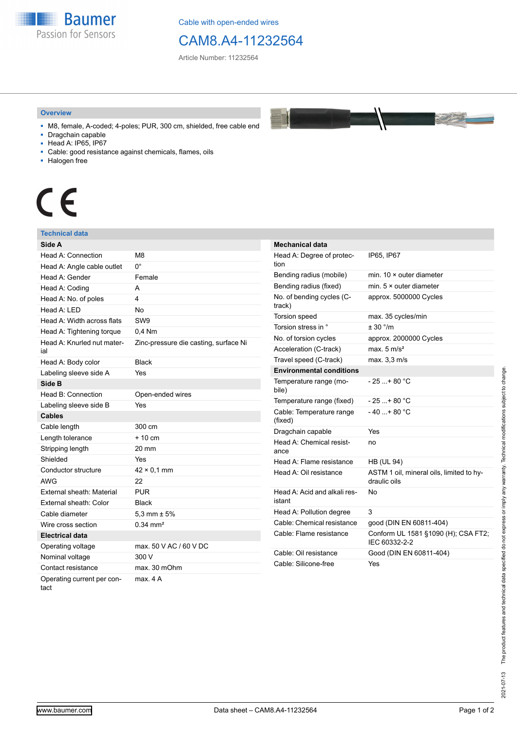

Cable with open-ended wires

## CAM8.A4-11232564

Article Number: 11232564

#### **Overview**



- M8, female, A-coded; 4-poles; PUR, 300 cm, shielded, free cable end ■ Dragchain capable
- 
- Head A: IP65, IP67
- Cable: good resistance against chemicals, flames, oils
- Halogen free

# $\epsilon$

### **Technical data**

| Side A                             |                                       |
|------------------------------------|---------------------------------------|
| Head A: Connection                 | M8                                    |
| Head A: Angle cable outlet         | 0°                                    |
| Head A: Gender                     | Female                                |
| Head A: Coding                     | A                                     |
| Head A: No. of poles               | 4                                     |
| Head $A \cdot IFD$                 | <b>No</b>                             |
| Head A: Width across flats         | SW <sub>9</sub>                       |
| Head A: Tightening torque          | $0.4$ Nm                              |
| Head A: Knurled nut mater-<br>ial  | Zinc-pressure die casting, surface Ni |
| Head A: Body color                 | <b>Black</b>                          |
| Labeling sleeve side A             | Yes                                   |
| Side B                             |                                       |
| Head B: Connection                 | Open-ended wires                      |
| Labeling sleeve side B             | Yes                                   |
| <b>Cables</b>                      |                                       |
| Cable length                       | 300 cm                                |
| Length tolerance                   | $+10 \text{ cm}$                      |
| Stripping length                   | 20 mm                                 |
| Shielded                           | Yes                                   |
| Conductor structure                | $42 \times 0.1$ mm                    |
| <b>AWG</b>                         | 22                                    |
| External sheath: Material          | <b>PUR</b>                            |
| External sheath: Color             | <b>Black</b>                          |
| Cable diameter                     | 5,3 mm $\pm$ 5%                       |
| Wire cross section                 | $0.34 \, \text{mm}^2$                 |
| <b>Electrical data</b>             |                                       |
| Operating voltage                  | max, 50 V AC / 60 V DC                |
| Nominal voltage                    | 300 V                                 |
| Contact resistance                 | max. 30 mOhm                          |
| Operating current per con-<br>tact | max. 4A                               |

| <b>Mechanical data</b>                 |                                                          |
|----------------------------------------|----------------------------------------------------------|
| Head A: Degree of protec-<br>tion      | IP65, IP67                                               |
| Bending radius (mobile)                | min. $10 \times$ outer diameter                          |
| Bending radius (fixed)                 | min. $5 \times$ outer diameter                           |
| No. of bending cycles (C-<br>track)    | approx. 5000000 Cycles                                   |
| <b>Torsion speed</b>                   | max. 35 cycles/min                                       |
| Torsion stress in °                    | $+30$ °/m                                                |
| No. of torsion cycles                  | approx. 2000000 Cycles                                   |
| Acceleration (C-track)                 | max. $5 \text{ m/s}^2$                                   |
| Travel speed (C-track)                 | max. 3,3 m/s                                             |
| <b>Environmental conditions</b>        |                                                          |
| Temperature range (mo-<br>bile)        | - 25 + 80 °C                                             |
| Temperature range (fixed)              | - 25 + 80 °C                                             |
| Cable: Temperature range<br>(fixed)    | $-40+80 °C$                                              |
| Dragchain capable                      | Yes                                                      |
| Head A: Chemical resist-<br>ance       | no                                                       |
| Head A: Flame resistance               | <b>HB (UL 94)</b>                                        |
| Head A: Oil resistance                 | ASTM 1 oil, mineral oils, limited to hy-<br>draulic oils |
| Head A: Acid and alkali res-<br>istant | N٥                                                       |
| Head A: Pollution degree               | 3                                                        |
| Cable: Chemical resistance             | good (DIN EN 60811-404)                                  |
| Cable: Flame resistance                | Conform UL 1581 §1090 (H); CSA FT2;<br>IEC 60332-2-2     |
| Cable: Oil resistance                  | Good (DIN EN 60811-404)                                  |
| Cable: Silicone-free                   | Yes                                                      |